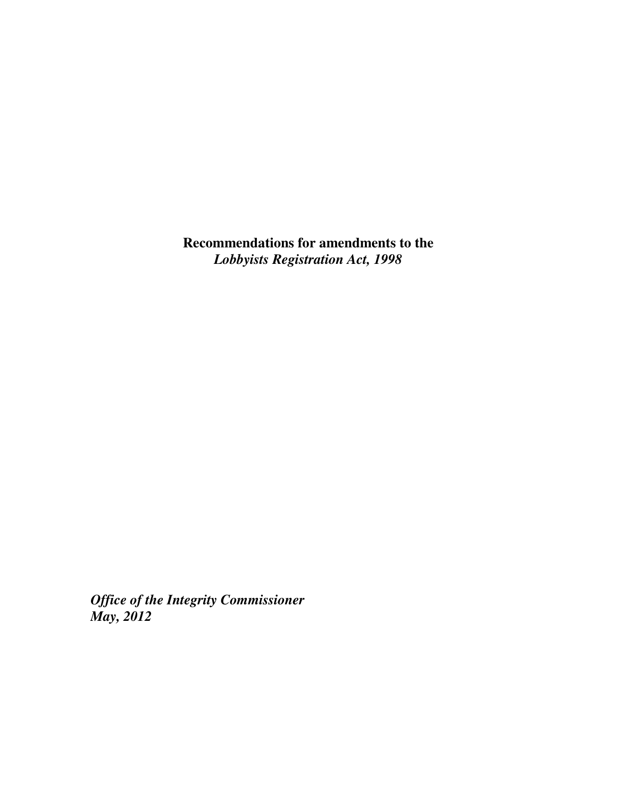**Recommendations for amendments to the**  *Lobbyists Registration Act, 1998* 

*Office of the Integrity Commissioner May, 2012*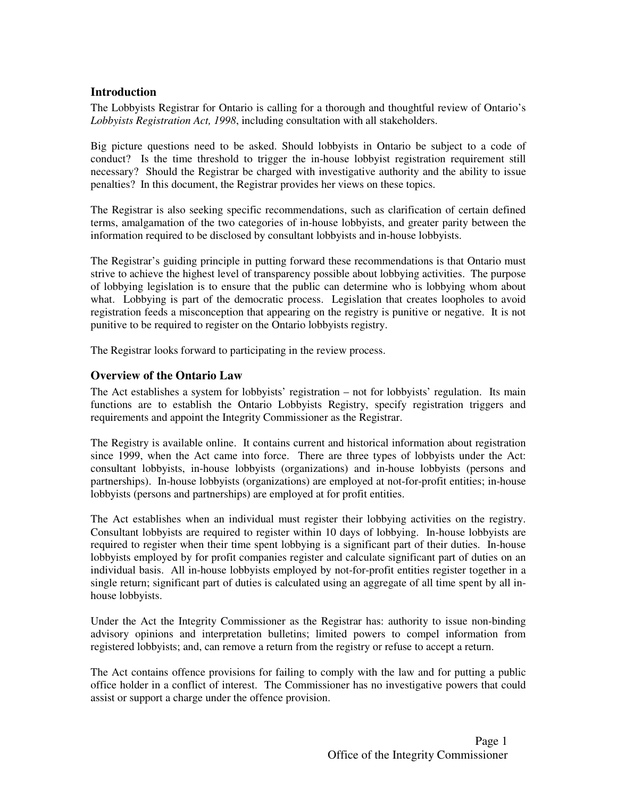### **Introduction**

The Lobbyists Registrar for Ontario is calling for a thorough and thoughtful review of Ontario's *Lobbyists Registration Act, 1998*, including consultation with all stakeholders.

Big picture questions need to be asked. Should lobbyists in Ontario be subject to a code of conduct? Is the time threshold to trigger the in-house lobbyist registration requirement still necessary? Should the Registrar be charged with investigative authority and the ability to issue penalties? In this document, the Registrar provides her views on these topics.

The Registrar is also seeking specific recommendations, such as clarification of certain defined terms, amalgamation of the two categories of in-house lobbyists, and greater parity between the information required to be disclosed by consultant lobbyists and in-house lobbyists.

The Registrar's guiding principle in putting forward these recommendations is that Ontario must strive to achieve the highest level of transparency possible about lobbying activities. The purpose of lobbying legislation is to ensure that the public can determine who is lobbying whom about what. Lobbying is part of the democratic process. Legislation that creates loopholes to avoid registration feeds a misconception that appearing on the registry is punitive or negative. It is not punitive to be required to register on the Ontario lobbyists registry.

The Registrar looks forward to participating in the review process.

#### **Overview of the Ontario Law**

The Act establishes a system for lobbyists' registration – not for lobbyists' regulation. Its main functions are to establish the Ontario Lobbyists Registry, specify registration triggers and requirements and appoint the Integrity Commissioner as the Registrar.

The Registry is available online. It contains current and historical information about registration since 1999, when the Act came into force. There are three types of lobbyists under the Act: consultant lobbyists, in-house lobbyists (organizations) and in-house lobbyists (persons and partnerships). In-house lobbyists (organizations) are employed at not-for-profit entities; in-house lobbyists (persons and partnerships) are employed at for profit entities.

The Act establishes when an individual must register their lobbying activities on the registry. Consultant lobbyists are required to register within 10 days of lobbying. In-house lobbyists are required to register when their time spent lobbying is a significant part of their duties. In-house lobbyists employed by for profit companies register and calculate significant part of duties on an individual basis. All in-house lobbyists employed by not-for-profit entities register together in a single return; significant part of duties is calculated using an aggregate of all time spent by all inhouse lobbyists.

Under the Act the Integrity Commissioner as the Registrar has: authority to issue non-binding advisory opinions and interpretation bulletins; limited powers to compel information from registered lobbyists; and, can remove a return from the registry or refuse to accept a return.

The Act contains offence provisions for failing to comply with the law and for putting a public office holder in a conflict of interest. The Commissioner has no investigative powers that could assist or support a charge under the offence provision.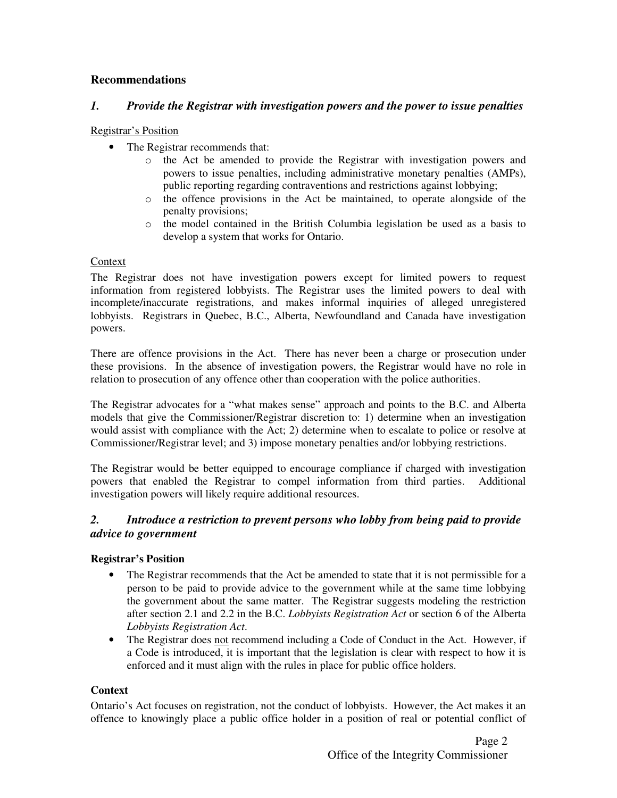## **Recommendations**

## *1. Provide the Registrar with investigation powers and the power to issue penalties*

#### Registrar's Position

- The Registrar recommends that:
	- o the Act be amended to provide the Registrar with investigation powers and powers to issue penalties, including administrative monetary penalties (AMPs), public reporting regarding contraventions and restrictions against lobbying;
	- o the offence provisions in the Act be maintained, to operate alongside of the penalty provisions;
	- o the model contained in the British Columbia legislation be used as a basis to develop a system that works for Ontario.

#### Context

The Registrar does not have investigation powers except for limited powers to request information from registered lobbyists. The Registrar uses the limited powers to deal with incomplete/inaccurate registrations, and makes informal inquiries of alleged unregistered lobbyists. Registrars in Quebec, B.C., Alberta, Newfoundland and Canada have investigation powers.

There are offence provisions in the Act. There has never been a charge or prosecution under these provisions. In the absence of investigation powers, the Registrar would have no role in relation to prosecution of any offence other than cooperation with the police authorities.

The Registrar advocates for a "what makes sense" approach and points to the B.C. and Alberta models that give the Commissioner/Registrar discretion to: 1) determine when an investigation would assist with compliance with the Act; 2) determine when to escalate to police or resolve at Commissioner/Registrar level; and 3) impose monetary penalties and/or lobbying restrictions.

The Registrar would be better equipped to encourage compliance if charged with investigation powers that enabled the Registrar to compel information from third parties. Additional investigation powers will likely require additional resources.

## *2. Introduce a restriction to prevent persons who lobby from being paid to provide advice to government*

### **Registrar's Position**

- The Registrar recommends that the Act be amended to state that it is not permissible for a person to be paid to provide advice to the government while at the same time lobbying the government about the same matter. The Registrar suggests modeling the restriction after section 2.1 and 2.2 in the B.C. *Lobbyists Registration Act* or section 6 of the Alberta *Lobbyists Registration Act*.
- The Registrar does not recommend including a Code of Conduct in the Act. However, if a Code is introduced, it is important that the legislation is clear with respect to how it is enforced and it must align with the rules in place for public office holders.

### **Context**

Ontario's Act focuses on registration, not the conduct of lobbyists. However, the Act makes it an offence to knowingly place a public office holder in a position of real or potential conflict of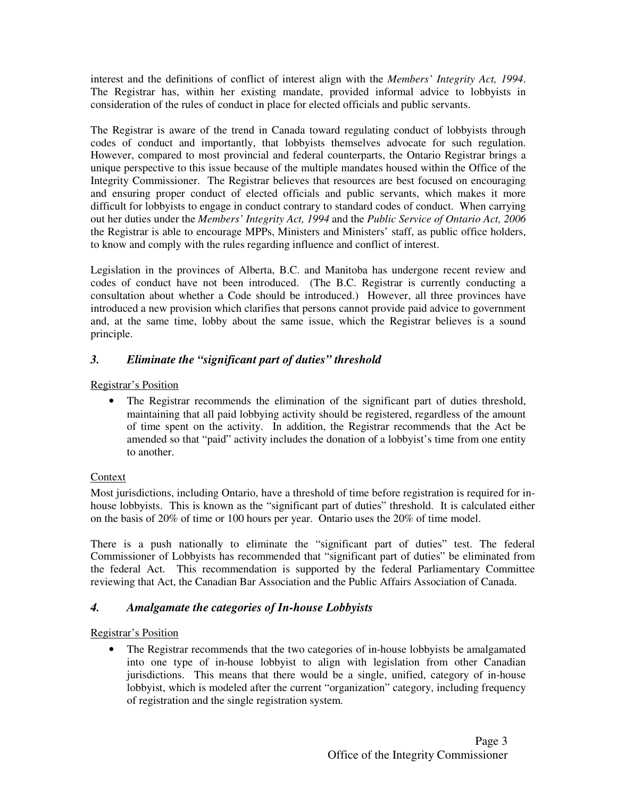interest and the definitions of conflict of interest align with the *Members' Integrity Act, 1994*. The Registrar has, within her existing mandate, provided informal advice to lobbyists in consideration of the rules of conduct in place for elected officials and public servants.

The Registrar is aware of the trend in Canada toward regulating conduct of lobbyists through codes of conduct and importantly, that lobbyists themselves advocate for such regulation. However, compared to most provincial and federal counterparts, the Ontario Registrar brings a unique perspective to this issue because of the multiple mandates housed within the Office of the Integrity Commissioner. The Registrar believes that resources are best focused on encouraging and ensuring proper conduct of elected officials and public servants, which makes it more difficult for lobbyists to engage in conduct contrary to standard codes of conduct. When carrying out her duties under the *Members' Integrity Act, 1994* and the *Public Service of Ontario Act, 2006* the Registrar is able to encourage MPPs, Ministers and Ministers' staff, as public office holders, to know and comply with the rules regarding influence and conflict of interest.

Legislation in the provinces of Alberta, B.C. and Manitoba has undergone recent review and codes of conduct have not been introduced. (The B.C. Registrar is currently conducting a consultation about whether a Code should be introduced.) However, all three provinces have introduced a new provision which clarifies that persons cannot provide paid advice to government and, at the same time, lobby about the same issue, which the Registrar believes is a sound principle.

# *3. Eliminate the "significant part of duties" threshold*

## Registrar's Position

• The Registrar recommends the elimination of the significant part of duties threshold, maintaining that all paid lobbying activity should be registered, regardless of the amount of time spent on the activity. In addition, the Registrar recommends that the Act be amended so that "paid" activity includes the donation of a lobbyist's time from one entity to another.

# **Context**

Most jurisdictions, including Ontario, have a threshold of time before registration is required for inhouse lobbyists. This is known as the "significant part of duties" threshold. It is calculated either on the basis of 20% of time or 100 hours per year. Ontario uses the 20% of time model.

There is a push nationally to eliminate the "significant part of duties" test. The federal Commissioner of Lobbyists has recommended that "significant part of duties" be eliminated from the federal Act. This recommendation is supported by the federal Parliamentary Committee reviewing that Act, the Canadian Bar Association and the Public Affairs Association of Canada.

# *4. Amalgamate the categories of In-house Lobbyists*

### Registrar's Position

• The Registrar recommends that the two categories of in-house lobbyists be amalgamated into one type of in-house lobbyist to align with legislation from other Canadian jurisdictions. This means that there would be a single, unified, category of in-house lobbyist, which is modeled after the current "organization" category, including frequency of registration and the single registration system.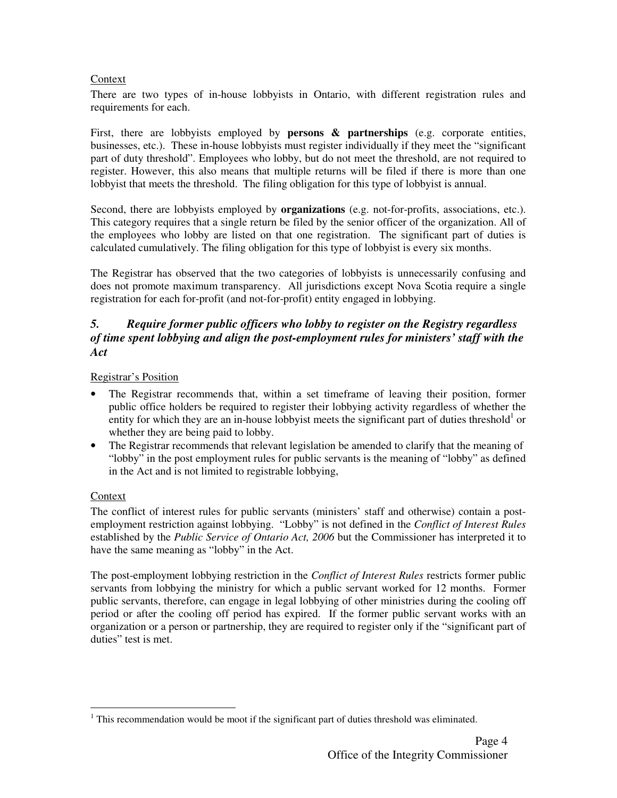#### Context

There are two types of in-house lobbyists in Ontario, with different registration rules and requirements for each.

First, there are lobbyists employed by **persons & partnerships** (e.g. corporate entities, businesses, etc.). These in-house lobbyists must register individually if they meet the "significant part of duty threshold". Employees who lobby, but do not meet the threshold, are not required to register. However, this also means that multiple returns will be filed if there is more than one lobbyist that meets the threshold. The filing obligation for this type of lobbyist is annual.

Second, there are lobbyists employed by **organizations** (e.g. not-for-profits, associations, etc.). This category requires that a single return be filed by the senior officer of the organization. All of the employees who lobby are listed on that one registration. The significant part of duties is calculated cumulatively. The filing obligation for this type of lobbyist is every six months.

The Registrar has observed that the two categories of lobbyists is unnecessarily confusing and does not promote maximum transparency. All jurisdictions except Nova Scotia require a single registration for each for-profit (and not-for-profit) entity engaged in lobbying.

## *5. Require former public officers who lobby to register on the Registry regardless of time spent lobbying and align the post-employment rules for ministers' staff with the Act*

Registrar's Position

- The Registrar recommends that, within a set timeframe of leaving their position, former public office holders be required to register their lobbying activity regardless of whether the entity for which they are an in-house lobbyist meets the significant part of duties threshold<sup>1</sup> or whether they are being paid to lobby.
- The Registrar recommends that relevant legislation be amended to clarify that the meaning of "lobby" in the post employment rules for public servants is the meaning of "lobby" as defined in the Act and is not limited to registrable lobbying,

### Context

l

The conflict of interest rules for public servants (ministers' staff and otherwise) contain a postemployment restriction against lobbying. "Lobby" is not defined in the *Conflict of Interest Rules* established by the *Public Service of Ontario Act, 2006* but the Commissioner has interpreted it to have the same meaning as "lobby" in the Act.

The post-employment lobbying restriction in the *Conflict of Interest Rules* restricts former public servants from lobbying the ministry for which a public servant worked for 12 months. Former public servants, therefore, can engage in legal lobbying of other ministries during the cooling off period or after the cooling off period has expired. If the former public servant works with an organization or a person or partnership, they are required to register only if the "significant part of duties" test is met.

 $<sup>1</sup>$  This recommendation would be moot if the significant part of duties threshold was eliminated.</sup>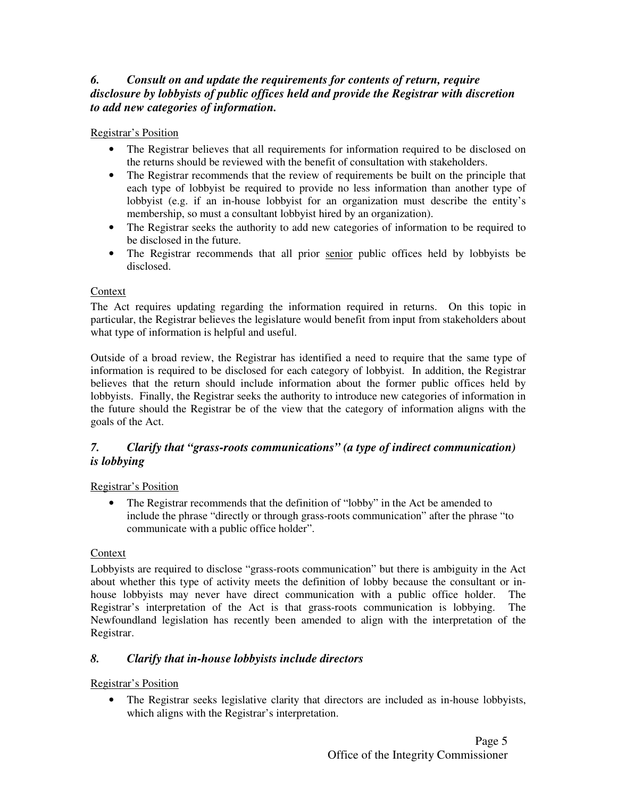# *6. Consult on and update the requirements for contents of return, require disclosure by lobbyists of public offices held and provide the Registrar with discretion to add new categories of information.*

### Registrar's Position

- The Registrar believes that all requirements for information required to be disclosed on the returns should be reviewed with the benefit of consultation with stakeholders.
- The Registrar recommends that the review of requirements be built on the principle that each type of lobbyist be required to provide no less information than another type of lobbyist (e.g. if an in-house lobbyist for an organization must describe the entity's membership, so must a consultant lobbyist hired by an organization).
- The Registrar seeks the authority to add new categories of information to be required to be disclosed in the future.
- The Registrar recommends that all prior senior public offices held by lobbyists be disclosed.

## Context

The Act requires updating regarding the information required in returns. On this topic in particular, the Registrar believes the legislature would benefit from input from stakeholders about what type of information is helpful and useful.

Outside of a broad review, the Registrar has identified a need to require that the same type of information is required to be disclosed for each category of lobbyist. In addition, the Registrar believes that the return should include information about the former public offices held by lobbyists. Finally, the Registrar seeks the authority to introduce new categories of information in the future should the Registrar be of the view that the category of information aligns with the goals of the Act.

# *7. Clarify that "grass-roots communications" (a type of indirect communication) is lobbying*

### Registrar's Position

• The Registrar recommends that the definition of "lobby" in the Act be amended to include the phrase "directly or through grass-roots communication" after the phrase "to communicate with a public office holder".

### Context

Lobbyists are required to disclose "grass-roots communication" but there is ambiguity in the Act about whether this type of activity meets the definition of lobby because the consultant or inhouse lobbyists may never have direct communication with a public office holder. The Registrar's interpretation of the Act is that grass-roots communication is lobbying. The Newfoundland legislation has recently been amended to align with the interpretation of the Registrar.

# *8. Clarify that in-house lobbyists include directors*

# Registrar's Position

• The Registrar seeks legislative clarity that directors are included as in-house lobbyists, which aligns with the Registrar's interpretation.